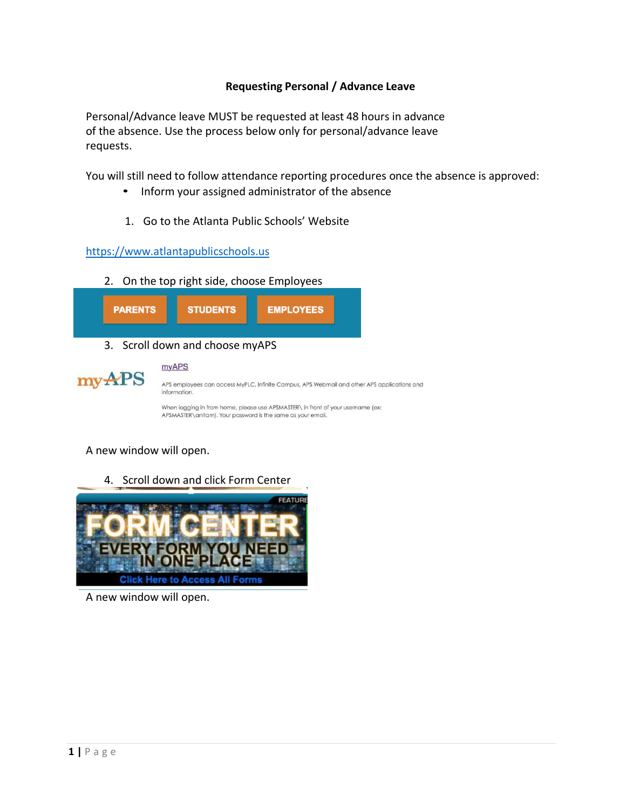## **Requesting Personal / Advance Leave**

Personal/Advance leave MUST be requested at least 48 hours in advance of the absence. Use the process below only for personal/advance leave requests.

You will still need to follow attendance reporting procedures once the absence is approved:

- Inform your assigned administrator of the absence
- 1. Go to the Atlanta Public Schools' Website

[https://www.atlantapublicschools.us](https://www.atlantapublicschools.us/)

myAPS

2. On the top right side, choose Employees





APS employees can access MyPLC, Infinite Campus, APS Webmail and other APS applications and information.

When logging in from home, please use APSMASTER\ in front of your username (ex: APSMASTER\anitam). Your password is the same as your email.

A new window will open.

4. Scroll down and click Form Center



A new window will open.